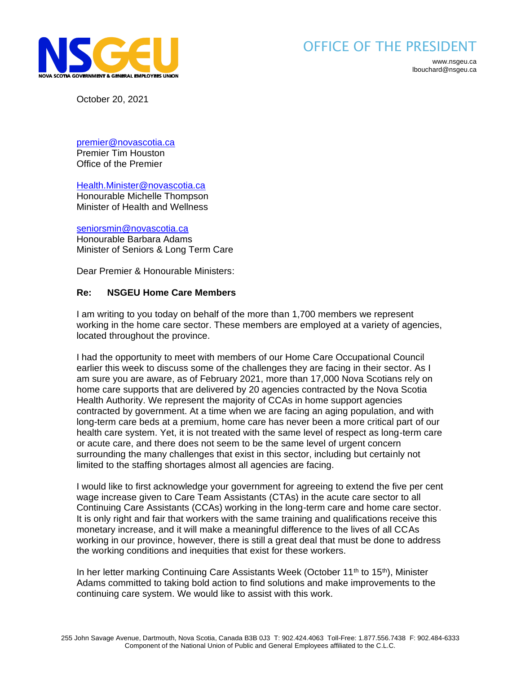

## OFFICE OF THE PRESIDENT

www.nsgeu.ca lbouchard@nsgeu.ca

October 20, 2021

[premier@novascotia.ca](mailto:premier@novascotia.ca)

Premier Tim Houston Office of the Premier

[Health.Minister@novascotia.ca](mailto:Health.Minister@novascotia.ca)

Honourable Michelle Thompson Minister of Health and Wellness

[seniorsmin@novascotia.ca](mailto:seniorsmin@novascotia.ca) Honourable Barbara Adams Minister of Seniors & Long Term Care

Dear Premier & Honourable Ministers:

## **Re: NSGEU Home Care Members**

I am writing to you today on behalf of the more than 1,700 members we represent working in the home care sector. These members are employed at a variety of agencies, located throughout the province.

I had the opportunity to meet with members of our Home Care Occupational Council earlier this week to discuss some of the challenges they are facing in their sector. As I am sure you are aware, as of February 2021, more than 17,000 Nova Scotians rely on home care supports that are delivered by 20 agencies contracted by the Nova Scotia Health Authority. We represent the majority of CCAs in home support agencies contracted by government. At a time when we are facing an aging population, and with long-term care beds at a premium, home care has never been a more critical part of our health care system. Yet, it is not treated with the same level of respect as long-term care or acute care, and there does not seem to be the same level of urgent concern surrounding the many challenges that exist in this sector, including but certainly not limited to the staffing shortages almost all agencies are facing.

I would like to first acknowledge your government for agreeing to extend the five per cent wage increase given to Care Team Assistants (CTAs) in the acute care sector to all Continuing Care Assistants (CCAs) working in the long-term care and home care sector. It is only right and fair that workers with the same training and qualifications receive this monetary increase, and it will make a meaningful difference to the lives of all CCAs working in our province, however, there is still a great deal that must be done to address the working conditions and inequities that exist for these workers.

In her letter marking Continuing Care Assistants Week (October 11<sup>th</sup> to 15<sup>th</sup>), Minister Adams committed to taking bold action to find solutions and make improvements to the continuing care system. We would like to assist with this work.